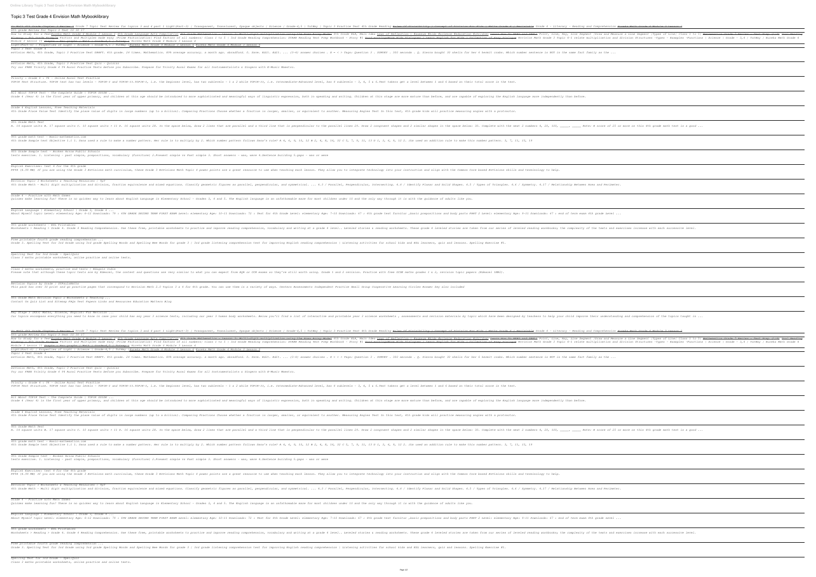## **Topic 3 Test Grade 4 Envision Math Mybooklibrary**

| Go Math 4th Grade Chapter 3 Review 4 Grade 7 Topic Test Review for topics 3 and 4 part 1 Light (Part 1 Light (Part 3)   Transparent, Translucent, Transparent, Transparent, Transparent, Translucent, Opaque objects   Science<br>6th grade Review for Topic 3 Test 10 30 17<br>Module 3 Lesson 11 Graphs Bar graphs   Math   Grade 4, 5   Tutway   Eureka Math Grade 4 Module 3 Lesson 4                                                                                                                                                                                                                                                                                                                                                                                                                                                                                                                                                                                                                                                                                                                                                                                                                                                                                                                                                                                                                                                                                                                                                                                                                                                                                                                                                                                                                                                                                                                                                                                                                                                                                                                                                                                                                                                                                                                                                                                                                                                                                                                                                                                                                                                                                                                                                                                                                                                                                                                                                                                                                                                                                                                                                                                                                                                                                                                                                                                                                                                                                                                                                                                                                                                                                                                                                                                                                                                                                                                                                                                                                                                                                                                                                                                                                                                                                                                                                                                                                                                                                                                                                                                                                                                                                                                                                                                                                                                                                                                                                                                                                                                                                                                                                                                                                                                                                                                                                                                                                                                                                                                                                                                                                                                                                                                                                                                                                                                                                                                                                                                                                                                                                                                                                                                                                                                                                                                                                                                                                                                                                                                                                                                                                                                                                                                                                                                                                                                                                                                                                                                                                                                                                                                                                                                                                                                                                                                                                                                                                                                                                                                                                                                                                                                                                                                                                                                                                                                                                                                                                                                                                                                                                                                                                                                                                                                                                                                                                                                                                                                                                                                                                                                                                                                                                                                                                                                                                                                                                                                                                                                                                                                                                                                                                                                                                                                                                                                                                                                                                                                                                                                                                                                                                                                                         |                                                                                                                                                                                                                                                                                                                                                                                                                                                                                 |
|-------------------------------------------------------------------------------------------------------------------------------------------------------------------------------------------------------------------------------------------------------------------------------------------------------------------------------------------------------------------------------------------------------------------------------------------------------------------------------------------------------------------------------------------------------------------------------------------------------------------------------------------------------------------------------------------------------------------------------------------------------------------------------------------------------------------------------------------------------------------------------------------------------------------------------------------------------------------------------------------------------------------------------------------------------------------------------------------------------------------------------------------------------------------------------------------------------------------------------------------------------------------------------------------------------------------------------------------------------------------------------------------------------------------------------------------------------------------------------------------------------------------------------------------------------------------------------------------------------------------------------------------------------------------------------------------------------------------------------------------------------------------------------------------------------------------------------------------------------------------------------------------------------------------------------------------------------------------------------------------------------------------------------------------------------------------------------------------------------------------------------------------------------------------------------------------------------------------------------------------------------------------------------------------------------------------------------------------------------------------------------------------------------------------------------------------------------------------------------------------------------------------------------------------------------------------------------------------------------------------------------------------------------------------------------------------------------------------------------------------------------------------------------------------------------------------------------------------------------------------------------------------------------------------------------------------------------------------------------------------------------------------------------------------------------------------------------------------------------------------------------------------------------------------------------------------------------------------------------------------------------------------------------------------------------------------------------------------------------------------------------------------------------------------------------------------------------------------------------------------------------------------------------------------------------------------------------------------------------------------------------------------------------------------------------------------------------------------------------------------------------------------------------------------------------------------------------------------------------------------------------------------------------------------------------------------------------------------------------------------------------------------------------------------------------------------------------------------------------------------------------------------------------------------------------------------------------------------------------------------------------------------------------------------------------------------------------------------------------------------------------------------------------------------------------------------------------------------------------------------------------------------------------------------------------------------------------------------------------------------------------------------------------------------------------------------------------------------------------------------------------------------------------------------------------------------------------------------------------------------------------------------------------------------------------------------------------------------------------------------------------------------------------------------------------------------------------------------------------------------------------------------------------------------------------------------------------------------------------------------------------------------------------------------------------------------------------------------------------------------------------------------------------------------------------------------------------------------------------------------------------------------------------------------------------------------------------------------------------------------------------------------------------------------------------------------------------------------------------------------------------------------------------------------------------------------------------------------------------------------------------------------------------------------------------------------------------------------------------------------------------------------------------------------------------------------------------------------------------------------------------------------------------------------------------------------------------------------------------------------------------------------------------------------------------------------------------------------------------------------------------------------------------------------------------------------------------------------------------------------------------------------------------------------------------------------------------------------------------------------------------------------------------------------------------------------------------------------------------------------------------------------------------------------------------------------------------------------------------------------------------------------------------------------------------------------------------------------------------------------------------------------------------------------------------------------------------------------------------------------------------------------------------------------------------------------------------------------------------------------------------------------------------------------------------------------------------------------------------------------------------------------------------------------------------------------------------------------------------------------------------------------------------------------------------------------------------------------------------------------------------------------------------------------------------------------------------------------------------------------------------------------------------------------------------------------------------------------------------------------------------------------------------------------------------------------------------------------------------------------------------------------------------------------------------------------------------------------------------------------------------------------------------------------------------------------------------------------------------------------------------------------------------------------------------------------------------------------------------------------------------------------------------------------------------------------------------------------------------------------------------------------------------------------------------------------------------------------------------------------------------------------------------------------------------------------------------------------------------------------------------------------------------------------------------------------------------------------------------------------------------------------------------------------------------------------------------------------------------------------------------------------------------------------------------------------------------------------------------------------------------------------------------------------------------------------------------------------------------------------------------------------------------------------------------------------------------------------------------------------------------------------------------------------------------------------------------------------------------------------------------------------------------------------------------------------------------------------------------------------------------------------------------------------|---------------------------------------------------------------------------------------------------------------------------------------------------------------------------------------------------------------------------------------------------------------------------------------------------------------------------------------------------------------------------------------------------------------------------------------------------------------------------------|
| Light (Part-6)   Properties of Light   Science   Grade-4,5   TutWay   Eureka Math Grade 4 Module 3 Lesson 6 Eureka Math Grade 4 Module 3 Lesson 9<br><i>Topic 3 Test Grade 4</i><br>envision Math, 4th Grade, Topic 3 Practice Test DRAFT. 4th grade. 24 times. Mathematics. 89% average accuracy. a month ago. shradford. 0. Save. Edit.  (3-4) answer choices . X = < > Tags: Question 3 . SURVEY . 300 secon<br>enVision Math, 4th Grade, Topic 3 Practice Test Quiz - Quizizz<br>Try our FREE Trinity Grade 4 T4 Aural Practice Tests before you Subscribe. Prepare for Trinity Aural Exams for all Instrumentalists & Singers with E-Music Maestro.<br>Trinity : Grade 4 : T4 - Online Aural Test Practice<br>TOPIK Test Structure. TOPIK test has two levels - TOPIK-I and TOPIK-II.TOPIK-II, i.e. the beginner level, has two sublevels - 1 & 2 while TOPIK-II, i.e. Intermediate-Advanced level, has 4 sublevels - 3, 4, 5 & 6.Test taker<br>All About TOPIK Test - The Complete Guide   TOPIK GUIDE<br>Grade 4 (Year 4) is the first year of upper primary, and children at this age should be introduced to more sophisticated and meaningful ways of linguistic expression, both in speaking and are rapable of exploring the Engli<br>Grade 4 English Lessons, Free Teaching Materials<br>4th Grade Place Value Test Identify the place value of digits in large numbers (up to a billion). Comparing Fractions Choose whether. Measuring Angles Test In this test, 4th grade kids will practice measuring angles with a<br>4th Grade Math Test<br>The space below, draw 2 in the Sellines 29. In the space below, draw 2 incs that are parallel and a third lines that is perpendicular to the space below, draw 2 innes 29. Draw 2 congruent shapes and 2 similar shapes and 2<br>4th grade math test - Basic-mathematics.com<br>4th Grade Sample test Objective 1.1 1. Dana used a rule to make a number pattern. Her rule is to multiply by 2. Which number pattern follows Dana's rule? A 4, 6, 9, 10, 12 B 2, 4, 8, 16, 32 C 5, 7, 9, 11, 13 D 1, 3, 6, 9,<br>4th Grade Sample test - Broken Arrow Public Schools<br>tests exercise. 1. Listening - past simple, prepositions, vocabulary (furniture) 2. Present simple vs Past simple 3. Short answers - was, were 4. Sentence building 5. gaps - was or were<br>English Exercises: test 4 for the 4th grade<br>14.99 MB) If you are using the Grade 3 EnVisions math curriculum, these Grade 3 EnVisions Math Topic 4 power points are a great resource to use when teaching each lesson. They allow you to integrate technology into your in<br>Envision Topic 3 Worksheets & Teaching Resources   TpT<br>th Grade Math - Multi digit multiplication and division, fraction equivalence and mixed equations. Classify geometric figures as parallel, perpendicular, and symmetrical.  4.3 / Parallel, Perpendicular, Intersecting. 4.<br>Grade 4 - Practice with Math Games<br>Quizzes make learning fun! There is no quicker way to learn about English Language in Elementary School - Grades 3, 4 and 5. The English language is an unfathomable maze for most children under 10 and the only way through<br>English Language   Elementary School   Grade 3, Grade 4<br>About Myself topic Level: elementary Age: 6–12 Downloads: 79 : 4TH GRADE SECOND TERM FIRST EXAM Level: elementary Age: 10–11 Downloads: 67 : 4th grade Level: elementary Age: 10–11 Downloads: 67 : 4th grade Level: elementar<br>4th grade worksheets - ESL Printables<br>Worksheets > Reading > Grade 4. Grade 4 Reading Comprehension. Use these free, printable worksheets to practice and improve reading worksheets. These grade 4 leveled stories are taken from our series of leveled reading wor<br>Free printable fourth grade reading comprehension<br>Grade 3. Spelling Test for 3rd Grade using 3rd grade Spelling Words and Spelling Bee Words for grade 3   3rd grade 1 Stening comprehension   Listening activities for school kids and ESL learners, quiz and lessons. Spelling<br>Spelling Test for 3rd Grade - SpellQuiz<br>Class 3 maths printable worksheets, online practice and online tests.<br>Class 3 maths worksheets, practice and tests   Edugain India<br>Please note that although these topic tests are by Edexcel, the content and questions are very similar to what you can expect from AQA or OCR exams so they're still worth using. Grade 1 and 2 revision. Practice with free G<br>Revision Topics by Grade   STPaulsMaths<br>This pack has over 30 print and go practice pages that correspond to Envision Math 2.0 Topics 3 & 4 for 4th grade. You can use them in a variety of ways. Centers Assessments Independent Practice Small Group Cooperative Lea<br>4th Grade Math Envision Topic 2 Worksheets & Teaching<br>Contact Us Quiz List and Sitemap FAQs Test Papers Links and Resources Education Matters Blog<br>Key Stage 3 (KS3) Maths, Science, English: Fun Revision<br>Our topics encompass everything you need to know in case your child has any year 3 science tests, including our and revision materials by teachers to help your child improve their understanding and comprehension of the top<br>Go Math 4th Grade Chapter 3 Review 1 Grade 7 Topic Test Review for topics 3 and 4 part 1 Light (Part 1 Aight (Part 1 Aight (Part 1 Aight (Part 1) I Transparent, Translucent, Opaque objects   Science   Grade 4 + Periwinkle<br>6th grade Review for Topic 3 Test 10 30 17<br>Module 3 Lesson 11 <del>Graphs – Bar graphs   Math   Grade-4,5   Tutway  </del> Eureka Math Grade 4 Module 3 Lesson 4<br>Light (Part-6)   Properties of Light   Science   Grade-4,5   TutWay   Eureka Math Grade 4 Module 3 Lesson 6 Eureka Math Grade 4 Module 3 Lesson 9<br><i>Topic 3 Test Grade 4</i><br>envision Math, 4th Grade, Topic 3 Practice Test DRAFT. 4th grade. 24 times. Mathematics. 89% average accuracy. a month ago. shradford. 0. Save. Edit.  (3-4) answer choices . X = < > Tags: Question 3 . SURVEY . 300 secon<br>enVision Math, 4th Grade, Topic 3 Practice Test Quiz - Quizizz<br>Try our FREE Trinity Grade 4 T4 Aural Practice Tests before you Subscribe. Prepare for Trinity Aural Exams for all Instrumentalists & Singers with E-Music Maestro.<br>Trinity : Grade 4 : T4 - Online Aural Test Practice<br>TOPIK Test Structure. TOPIK test has two levels - TOPIK-I and TOPIK-II.TOPIK-II, i.e. the beginner level, has two sublevels - 3, 4, 5 & 6.Test takers get a level between 1 and 6 based on their total score in the test.<br>All About TOPIK Test - The Complete Guide   TOPIK GUIDE<br>Grade 4 (Year 4) is the first year of upper primary, and children at this age should be introduced to more sophisticated and meaningful ways of linguistic expression, both in speaking and are rapable of exploring the Engli<br>Grade 4 English Lessons, Free Teaching Materials<br>4th Grade Place Value Test Identify the place value of digits in large numbers (up to a billion). Comparing Fractions Choose whether a fraction is larger, smaller, or equivalent to another. Measuring Angles Test In this te<br>4th Grade Math Test<br>The space below, draw 2 in the Service what a square units and the square units 28. In the space below, draw 2 innes that are parallel lines 29. Draw 2 congruent shapes and 2 similar shapes in the space below, draw 2 lines<br>4th grade math test - Basic-mathematics.com<br>4th Grade Sample test Objective 1.1 1. Dana used a rule to make a number pattern. Her rule is to multiply by 2. Which number pattern follows Dana's rule? A 4, 6, 9, 10, 12 B 2, 4, 8, 16, 32 C 5, 7, 9, 11, 13 D 1, 3, 6, 9,<br>4th Grade Sample test - Broken Arrow Public Schools<br>tests exercise. 1. Listening - past simple, prepositions, vocabulary (furniture) 2. Present simple vs Past simple 3. Short answers - was, were 4. Sentence building 5. gaps - was or were<br>English Exercises: test 4 for the 4th grade<br>14.99 MB) If you are using the Grade 3 EnVisions math curriculum, these Grade 3 EnVisions Math Topic 4 power points are a great resource to use when teaching each lesson. They allow you to integrate technology into your in<br>Envision Topic 3 Worksheets & Teaching Resources   TpT<br>th Grade Math - Multi digit multiplication and division, fraction equivalence and mixed equations. Classify geometric figures as parallel, perpendicular, and symmetrical.  4.3 / Parallel, Perpendicular, Intersecting. 4.<br>Grade 4 - Practice with Math Games<br>Quizzes make learning fun! There is no quicker way to learn about English Language in Elementary School - Grades 3, 4 and 5. The English language is an unfathomable maze for most children under 10 and the only way through<br>English Language   Elementary School   Grade 3, Grade 4<br>About Myself topic Level: elementary Age: 6–12 Downloads: 79 : 4TH GRADE SECOND TERM FIRST EXAM Level: elementary Age: 10–11 Downloads: 67 : 4th grade Level: elementary Age: 10–11 Downloads: 67 : 4th grade Level: elementar<br>4th grade worksheets - ESL Printables<br>Worksheets > Reading > Grade 4. Grade 4 Reading Comprehension. Use these free, printable worksheets to practice and improve reading worksheets. These grade 4 leveled stories are taken from our series of leveled reading wor<br>Free printable fourth grade reading comprehension<br>Grade 3. Spelling Test for 3rd Grade using 3rd grade Spelling Words and Spelling Bee Words for grade 3   3rd grade 3   3rd grade 1istening comprehension   Listening activities for school kids and ESL learners, quiz and les | th Grade Britter How to Study for a Test <u>Eureka Math Grade 4 Module 3 Lesson 1 4th Grade Language Arts Compilation 4th Grade Mathematics - Lesson 3: Multi digit multiplication using the Area Array Model 4th Grade Mathemati</u><br>The Grade Example Factors and Multiples made easy  Prime Factorization  Find factors of all numbers  Class 1 to 5   3rd Grade Reading Comprehension: STAAR Reading Comprehension: STAAR Reading Test Prep Workbook - Story #1          |
|                                                                                                                                                                                                                                                                                                                                                                                                                                                                                                                                                                                                                                                                                                                                                                                                                                                                                                                                                                                                                                                                                                                                                                                                                                                                                                                                                                                                                                                                                                                                                                                                                                                                                                                                                                                                                                                                                                                                                                                                                                                                                                                                                                                                                                                                                                                                                                                                                                                                                                                                                                                                                                                                                                                                                                                                                                                                                                                                                                                                                                                                                                                                                                                                                                                                                                                                                                                                                                                                                                                                                                                                                                                                                                                                                                                                                                                                                                                                                                                                                                                                                                                                                                                                                                                                                                                                                                                                                                                                                                                                                                                                                                                                                                                                                                                                                                                                                                                                                                                                                                                                                                                                                                                                                                                                                                                                                                                                                                                                                                                                                                                                                                                                                                                                                                                                                                                                                                                                                                                                                                                                                                                                                                                                                                                                                                                                                                                                                                                                                                                                                                                                                                                                                                                                                                                                                                                                                                                                                                                                                                                                                                                                                                                                                                                                                                                                                                                                                                                                                                                                                                                                                                                                                                                                                                                                                                                                                                                                                                                                                                                                                                                                                                                                                                                                                                                                                                                                                                                                                                                                                                                                                                                                                                                                                                                                                                                                                                                                                                                                                                                                                                                                                                                                                                                                                                                                                                                                                                                                                                                                                                                                                                                                   |                                                                                                                                                                                                                                                                                                                                                                                                                                                                                 |
|                                                                                                                                                                                                                                                                                                                                                                                                                                                                                                                                                                                                                                                                                                                                                                                                                                                                                                                                                                                                                                                                                                                                                                                                                                                                                                                                                                                                                                                                                                                                                                                                                                                                                                                                                                                                                                                                                                                                                                                                                                                                                                                                                                                                                                                                                                                                                                                                                                                                                                                                                                                                                                                                                                                                                                                                                                                                                                                                                                                                                                                                                                                                                                                                                                                                                                                                                                                                                                                                                                                                                                                                                                                                                                                                                                                                                                                                                                                                                                                                                                                                                                                                                                                                                                                                                                                                                                                                                                                                                                                                                                                                                                                                                                                                                                                                                                                                                                                                                                                                                                                                                                                                                                                                                                                                                                                                                                                                                                                                                                                                                                                                                                                                                                                                                                                                                                                                                                                                                                                                                                                                                                                                                                                                                                                                                                                                                                                                                                                                                                                                                                                                                                                                                                                                                                                                                                                                                                                                                                                                                                                                                                                                                                                                                                                                                                                                                                                                                                                                                                                                                                                                                                                                                                                                                                                                                                                                                                                                                                                                                                                                                                                                                                                                                                                                                                                                                                                                                                                                                                                                                                                                                                                                                                                                                                                                                                                                                                                                                                                                                                                                                                                                                                                                                                                                                                                                                                                                                                                                                                                                                                                                                                                                   |                                                                                                                                                                                                                                                                                                                                                                                                                                                                                 |
|                                                                                                                                                                                                                                                                                                                                                                                                                                                                                                                                                                                                                                                                                                                                                                                                                                                                                                                                                                                                                                                                                                                                                                                                                                                                                                                                                                                                                                                                                                                                                                                                                                                                                                                                                                                                                                                                                                                                                                                                                                                                                                                                                                                                                                                                                                                                                                                                                                                                                                                                                                                                                                                                                                                                                                                                                                                                                                                                                                                                                                                                                                                                                                                                                                                                                                                                                                                                                                                                                                                                                                                                                                                                                                                                                                                                                                                                                                                                                                                                                                                                                                                                                                                                                                                                                                                                                                                                                                                                                                                                                                                                                                                                                                                                                                                                                                                                                                                                                                                                                                                                                                                                                                                                                                                                                                                                                                                                                                                                                                                                                                                                                                                                                                                                                                                                                                                                                                                                                                                                                                                                                                                                                                                                                                                                                                                                                                                                                                                                                                                                                                                                                                                                                                                                                                                                                                                                                                                                                                                                                                                                                                                                                                                                                                                                                                                                                                                                                                                                                                                                                                                                                                                                                                                                                                                                                                                                                                                                                                                                                                                                                                                                                                                                                                                                                                                                                                                                                                                                                                                                                                                                                                                                                                                                                                                                                                                                                                                                                                                                                                                                                                                                                                                                                                                                                                                                                                                                                                                                                                                                                                                                                                                                   |                                                                                                                                                                                                                                                                                                                                                                                                                                                                                 |
|                                                                                                                                                                                                                                                                                                                                                                                                                                                                                                                                                                                                                                                                                                                                                                                                                                                                                                                                                                                                                                                                                                                                                                                                                                                                                                                                                                                                                                                                                                                                                                                                                                                                                                                                                                                                                                                                                                                                                                                                                                                                                                                                                                                                                                                                                                                                                                                                                                                                                                                                                                                                                                                                                                                                                                                                                                                                                                                                                                                                                                                                                                                                                                                                                                                                                                                                                                                                                                                                                                                                                                                                                                                                                                                                                                                                                                                                                                                                                                                                                                                                                                                                                                                                                                                                                                                                                                                                                                                                                                                                                                                                                                                                                                                                                                                                                                                                                                                                                                                                                                                                                                                                                                                                                                                                                                                                                                                                                                                                                                                                                                                                                                                                                                                                                                                                                                                                                                                                                                                                                                                                                                                                                                                                                                                                                                                                                                                                                                                                                                                                                                                                                                                                                                                                                                                                                                                                                                                                                                                                                                                                                                                                                                                                                                                                                                                                                                                                                                                                                                                                                                                                                                                                                                                                                                                                                                                                                                                                                                                                                                                                                                                                                                                                                                                                                                                                                                                                                                                                                                                                                                                                                                                                                                                                                                                                                                                                                                                                                                                                                                                                                                                                                                                                                                                                                                                                                                                                                                                                                                                                                                                                                                                                   |                                                                                                                                                                                                                                                                                                                                                                                                                                                                                 |
|                                                                                                                                                                                                                                                                                                                                                                                                                                                                                                                                                                                                                                                                                                                                                                                                                                                                                                                                                                                                                                                                                                                                                                                                                                                                                                                                                                                                                                                                                                                                                                                                                                                                                                                                                                                                                                                                                                                                                                                                                                                                                                                                                                                                                                                                                                                                                                                                                                                                                                                                                                                                                                                                                                                                                                                                                                                                                                                                                                                                                                                                                                                                                                                                                                                                                                                                                                                                                                                                                                                                                                                                                                                                                                                                                                                                                                                                                                                                                                                                                                                                                                                                                                                                                                                                                                                                                                                                                                                                                                                                                                                                                                                                                                                                                                                                                                                                                                                                                                                                                                                                                                                                                                                                                                                                                                                                                                                                                                                                                                                                                                                                                                                                                                                                                                                                                                                                                                                                                                                                                                                                                                                                                                                                                                                                                                                                                                                                                                                                                                                                                                                                                                                                                                                                                                                                                                                                                                                                                                                                                                                                                                                                                                                                                                                                                                                                                                                                                                                                                                                                                                                                                                                                                                                                                                                                                                                                                                                                                                                                                                                                                                                                                                                                                                                                                                                                                                                                                                                                                                                                                                                                                                                                                                                                                                                                                                                                                                                                                                                                                                                                                                                                                                                                                                                                                                                                                                                                                                                                                                                                                                                                                                                                   |                                                                                                                                                                                                                                                                                                                                                                                                                                                                                 |
|                                                                                                                                                                                                                                                                                                                                                                                                                                                                                                                                                                                                                                                                                                                                                                                                                                                                                                                                                                                                                                                                                                                                                                                                                                                                                                                                                                                                                                                                                                                                                                                                                                                                                                                                                                                                                                                                                                                                                                                                                                                                                                                                                                                                                                                                                                                                                                                                                                                                                                                                                                                                                                                                                                                                                                                                                                                                                                                                                                                                                                                                                                                                                                                                                                                                                                                                                                                                                                                                                                                                                                                                                                                                                                                                                                                                                                                                                                                                                                                                                                                                                                                                                                                                                                                                                                                                                                                                                                                                                                                                                                                                                                                                                                                                                                                                                                                                                                                                                                                                                                                                                                                                                                                                                                                                                                                                                                                                                                                                                                                                                                                                                                                                                                                                                                                                                                                                                                                                                                                                                                                                                                                                                                                                                                                                                                                                                                                                                                                                                                                                                                                                                                                                                                                                                                                                                                                                                                                                                                                                                                                                                                                                                                                                                                                                                                                                                                                                                                                                                                                                                                                                                                                                                                                                                                                                                                                                                                                                                                                                                                                                                                                                                                                                                                                                                                                                                                                                                                                                                                                                                                                                                                                                                                                                                                                                                                                                                                                                                                                                                                                                                                                                                                                                                                                                                                                                                                                                                                                                                                                                                                                                                                                                   |                                                                                                                                                                                                                                                                                                                                                                                                                                                                                 |
|                                                                                                                                                                                                                                                                                                                                                                                                                                                                                                                                                                                                                                                                                                                                                                                                                                                                                                                                                                                                                                                                                                                                                                                                                                                                                                                                                                                                                                                                                                                                                                                                                                                                                                                                                                                                                                                                                                                                                                                                                                                                                                                                                                                                                                                                                                                                                                                                                                                                                                                                                                                                                                                                                                                                                                                                                                                                                                                                                                                                                                                                                                                                                                                                                                                                                                                                                                                                                                                                                                                                                                                                                                                                                                                                                                                                                                                                                                                                                                                                                                                                                                                                                                                                                                                                                                                                                                                                                                                                                                                                                                                                                                                                                                                                                                                                                                                                                                                                                                                                                                                                                                                                                                                                                                                                                                                                                                                                                                                                                                                                                                                                                                                                                                                                                                                                                                                                                                                                                                                                                                                                                                                                                                                                                                                                                                                                                                                                                                                                                                                                                                                                                                                                                                                                                                                                                                                                                                                                                                                                                                                                                                                                                                                                                                                                                                                                                                                                                                                                                                                                                                                                                                                                                                                                                                                                                                                                                                                                                                                                                                                                                                                                                                                                                                                                                                                                                                                                                                                                                                                                                                                                                                                                                                                                                                                                                                                                                                                                                                                                                                                                                                                                                                                                                                                                                                                                                                                                                                                                                                                                                                                                                                                                   |                                                                                                                                                                                                                                                                                                                                                                                                                                                                                 |
|                                                                                                                                                                                                                                                                                                                                                                                                                                                                                                                                                                                                                                                                                                                                                                                                                                                                                                                                                                                                                                                                                                                                                                                                                                                                                                                                                                                                                                                                                                                                                                                                                                                                                                                                                                                                                                                                                                                                                                                                                                                                                                                                                                                                                                                                                                                                                                                                                                                                                                                                                                                                                                                                                                                                                                                                                                                                                                                                                                                                                                                                                                                                                                                                                                                                                                                                                                                                                                                                                                                                                                                                                                                                                                                                                                                                                                                                                                                                                                                                                                                                                                                                                                                                                                                                                                                                                                                                                                                                                                                                                                                                                                                                                                                                                                                                                                                                                                                                                                                                                                                                                                                                                                                                                                                                                                                                                                                                                                                                                                                                                                                                                                                                                                                                                                                                                                                                                                                                                                                                                                                                                                                                                                                                                                                                                                                                                                                                                                                                                                                                                                                                                                                                                                                                                                                                                                                                                                                                                                                                                                                                                                                                                                                                                                                                                                                                                                                                                                                                                                                                                                                                                                                                                                                                                                                                                                                                                                                                                                                                                                                                                                                                                                                                                                                                                                                                                                                                                                                                                                                                                                                                                                                                                                                                                                                                                                                                                                                                                                                                                                                                                                                                                                                                                                                                                                                                                                                                                                                                                                                                                                                                                                                                   |                                                                                                                                                                                                                                                                                                                                                                                                                                                                                 |
|                                                                                                                                                                                                                                                                                                                                                                                                                                                                                                                                                                                                                                                                                                                                                                                                                                                                                                                                                                                                                                                                                                                                                                                                                                                                                                                                                                                                                                                                                                                                                                                                                                                                                                                                                                                                                                                                                                                                                                                                                                                                                                                                                                                                                                                                                                                                                                                                                                                                                                                                                                                                                                                                                                                                                                                                                                                                                                                                                                                                                                                                                                                                                                                                                                                                                                                                                                                                                                                                                                                                                                                                                                                                                                                                                                                                                                                                                                                                                                                                                                                                                                                                                                                                                                                                                                                                                                                                                                                                                                                                                                                                                                                                                                                                                                                                                                                                                                                                                                                                                                                                                                                                                                                                                                                                                                                                                                                                                                                                                                                                                                                                                                                                                                                                                                                                                                                                                                                                                                                                                                                                                                                                                                                                                                                                                                                                                                                                                                                                                                                                                                                                                                                                                                                                                                                                                                                                                                                                                                                                                                                                                                                                                                                                                                                                                                                                                                                                                                                                                                                                                                                                                                                                                                                                                                                                                                                                                                                                                                                                                                                                                                                                                                                                                                                                                                                                                                                                                                                                                                                                                                                                                                                                                                                                                                                                                                                                                                                                                                                                                                                                                                                                                                                                                                                                                                                                                                                                                                                                                                                                                                                                                                                                   |                                                                                                                                                                                                                                                                                                                                                                                                                                                                                 |
|                                                                                                                                                                                                                                                                                                                                                                                                                                                                                                                                                                                                                                                                                                                                                                                                                                                                                                                                                                                                                                                                                                                                                                                                                                                                                                                                                                                                                                                                                                                                                                                                                                                                                                                                                                                                                                                                                                                                                                                                                                                                                                                                                                                                                                                                                                                                                                                                                                                                                                                                                                                                                                                                                                                                                                                                                                                                                                                                                                                                                                                                                                                                                                                                                                                                                                                                                                                                                                                                                                                                                                                                                                                                                                                                                                                                                                                                                                                                                                                                                                                                                                                                                                                                                                                                                                                                                                                                                                                                                                                                                                                                                                                                                                                                                                                                                                                                                                                                                                                                                                                                                                                                                                                                                                                                                                                                                                                                                                                                                                                                                                                                                                                                                                                                                                                                                                                                                                                                                                                                                                                                                                                                                                                                                                                                                                                                                                                                                                                                                                                                                                                                                                                                                                                                                                                                                                                                                                                                                                                                                                                                                                                                                                                                                                                                                                                                                                                                                                                                                                                                                                                                                                                                                                                                                                                                                                                                                                                                                                                                                                                                                                                                                                                                                                                                                                                                                                                                                                                                                                                                                                                                                                                                                                                                                                                                                                                                                                                                                                                                                                                                                                                                                                                                                                                                                                                                                                                                                                                                                                                                                                                                                                                                   |                                                                                                                                                                                                                                                                                                                                                                                                                                                                                 |
|                                                                                                                                                                                                                                                                                                                                                                                                                                                                                                                                                                                                                                                                                                                                                                                                                                                                                                                                                                                                                                                                                                                                                                                                                                                                                                                                                                                                                                                                                                                                                                                                                                                                                                                                                                                                                                                                                                                                                                                                                                                                                                                                                                                                                                                                                                                                                                                                                                                                                                                                                                                                                                                                                                                                                                                                                                                                                                                                                                                                                                                                                                                                                                                                                                                                                                                                                                                                                                                                                                                                                                                                                                                                                                                                                                                                                                                                                                                                                                                                                                                                                                                                                                                                                                                                                                                                                                                                                                                                                                                                                                                                                                                                                                                                                                                                                                                                                                                                                                                                                                                                                                                                                                                                                                                                                                                                                                                                                                                                                                                                                                                                                                                                                                                                                                                                                                                                                                                                                                                                                                                                                                                                                                                                                                                                                                                                                                                                                                                                                                                                                                                                                                                                                                                                                                                                                                                                                                                                                                                                                                                                                                                                                                                                                                                                                                                                                                                                                                                                                                                                                                                                                                                                                                                                                                                                                                                                                                                                                                                                                                                                                                                                                                                                                                                                                                                                                                                                                                                                                                                                                                                                                                                                                                                                                                                                                                                                                                                                                                                                                                                                                                                                                                                                                                                                                                                                                                                                                                                                                                                                                                                                                                                                   |                                                                                                                                                                                                                                                                                                                                                                                                                                                                                 |
|                                                                                                                                                                                                                                                                                                                                                                                                                                                                                                                                                                                                                                                                                                                                                                                                                                                                                                                                                                                                                                                                                                                                                                                                                                                                                                                                                                                                                                                                                                                                                                                                                                                                                                                                                                                                                                                                                                                                                                                                                                                                                                                                                                                                                                                                                                                                                                                                                                                                                                                                                                                                                                                                                                                                                                                                                                                                                                                                                                                                                                                                                                                                                                                                                                                                                                                                                                                                                                                                                                                                                                                                                                                                                                                                                                                                                                                                                                                                                                                                                                                                                                                                                                                                                                                                                                                                                                                                                                                                                                                                                                                                                                                                                                                                                                                                                                                                                                                                                                                                                                                                                                                                                                                                                                                                                                                                                                                                                                                                                                                                                                                                                                                                                                                                                                                                                                                                                                                                                                                                                                                                                                                                                                                                                                                                                                                                                                                                                                                                                                                                                                                                                                                                                                                                                                                                                                                                                                                                                                                                                                                                                                                                                                                                                                                                                                                                                                                                                                                                                                                                                                                                                                                                                                                                                                                                                                                                                                                                                                                                                                                                                                                                                                                                                                                                                                                                                                                                                                                                                                                                                                                                                                                                                                                                                                                                                                                                                                                                                                                                                                                                                                                                                                                                                                                                                                                                                                                                                                                                                                                                                                                                                                                                   |                                                                                                                                                                                                                                                                                                                                                                                                                                                                                 |
|                                                                                                                                                                                                                                                                                                                                                                                                                                                                                                                                                                                                                                                                                                                                                                                                                                                                                                                                                                                                                                                                                                                                                                                                                                                                                                                                                                                                                                                                                                                                                                                                                                                                                                                                                                                                                                                                                                                                                                                                                                                                                                                                                                                                                                                                                                                                                                                                                                                                                                                                                                                                                                                                                                                                                                                                                                                                                                                                                                                                                                                                                                                                                                                                                                                                                                                                                                                                                                                                                                                                                                                                                                                                                                                                                                                                                                                                                                                                                                                                                                                                                                                                                                                                                                                                                                                                                                                                                                                                                                                                                                                                                                                                                                                                                                                                                                                                                                                                                                                                                                                                                                                                                                                                                                                                                                                                                                                                                                                                                                                                                                                                                                                                                                                                                                                                                                                                                                                                                                                                                                                                                                                                                                                                                                                                                                                                                                                                                                                                                                                                                                                                                                                                                                                                                                                                                                                                                                                                                                                                                                                                                                                                                                                                                                                                                                                                                                                                                                                                                                                                                                                                                                                                                                                                                                                                                                                                                                                                                                                                                                                                                                                                                                                                                                                                                                                                                                                                                                                                                                                                                                                                                                                                                                                                                                                                                                                                                                                                                                                                                                                                                                                                                                                                                                                                                                                                                                                                                                                                                                                                                                                                                                                                   |                                                                                                                                                                                                                                                                                                                                                                                                                                                                                 |
|                                                                                                                                                                                                                                                                                                                                                                                                                                                                                                                                                                                                                                                                                                                                                                                                                                                                                                                                                                                                                                                                                                                                                                                                                                                                                                                                                                                                                                                                                                                                                                                                                                                                                                                                                                                                                                                                                                                                                                                                                                                                                                                                                                                                                                                                                                                                                                                                                                                                                                                                                                                                                                                                                                                                                                                                                                                                                                                                                                                                                                                                                                                                                                                                                                                                                                                                                                                                                                                                                                                                                                                                                                                                                                                                                                                                                                                                                                                                                                                                                                                                                                                                                                                                                                                                                                                                                                                                                                                                                                                                                                                                                                                                                                                                                                                                                                                                                                                                                                                                                                                                                                                                                                                                                                                                                                                                                                                                                                                                                                                                                                                                                                                                                                                                                                                                                                                                                                                                                                                                                                                                                                                                                                                                                                                                                                                                                                                                                                                                                                                                                                                                                                                                                                                                                                                                                                                                                                                                                                                                                                                                                                                                                                                                                                                                                                                                                                                                                                                                                                                                                                                                                                                                                                                                                                                                                                                                                                                                                                                                                                                                                                                                                                                                                                                                                                                                                                                                                                                                                                                                                                                                                                                                                                                                                                                                                                                                                                                                                                                                                                                                                                                                                                                                                                                                                                                                                                                                                                                                                                                                                                                                                                                                   |                                                                                                                                                                                                                                                                                                                                                                                                                                                                                 |
|                                                                                                                                                                                                                                                                                                                                                                                                                                                                                                                                                                                                                                                                                                                                                                                                                                                                                                                                                                                                                                                                                                                                                                                                                                                                                                                                                                                                                                                                                                                                                                                                                                                                                                                                                                                                                                                                                                                                                                                                                                                                                                                                                                                                                                                                                                                                                                                                                                                                                                                                                                                                                                                                                                                                                                                                                                                                                                                                                                                                                                                                                                                                                                                                                                                                                                                                                                                                                                                                                                                                                                                                                                                                                                                                                                                                                                                                                                                                                                                                                                                                                                                                                                                                                                                                                                                                                                                                                                                                                                                                                                                                                                                                                                                                                                                                                                                                                                                                                                                                                                                                                                                                                                                                                                                                                                                                                                                                                                                                                                                                                                                                                                                                                                                                                                                                                                                                                                                                                                                                                                                                                                                                                                                                                                                                                                                                                                                                                                                                                                                                                                                                                                                                                                                                                                                                                                                                                                                                                                                                                                                                                                                                                                                                                                                                                                                                                                                                                                                                                                                                                                                                                                                                                                                                                                                                                                                                                                                                                                                                                                                                                                                                                                                                                                                                                                                                                                                                                                                                                                                                                                                                                                                                                                                                                                                                                                                                                                                                                                                                                                                                                                                                                                                                                                                                                                                                                                                                                                                                                                                                                                                                                                                                   |                                                                                                                                                                                                                                                                                                                                                                                                                                                                                 |
|                                                                                                                                                                                                                                                                                                                                                                                                                                                                                                                                                                                                                                                                                                                                                                                                                                                                                                                                                                                                                                                                                                                                                                                                                                                                                                                                                                                                                                                                                                                                                                                                                                                                                                                                                                                                                                                                                                                                                                                                                                                                                                                                                                                                                                                                                                                                                                                                                                                                                                                                                                                                                                                                                                                                                                                                                                                                                                                                                                                                                                                                                                                                                                                                                                                                                                                                                                                                                                                                                                                                                                                                                                                                                                                                                                                                                                                                                                                                                                                                                                                                                                                                                                                                                                                                                                                                                                                                                                                                                                                                                                                                                                                                                                                                                                                                                                                                                                                                                                                                                                                                                                                                                                                                                                                                                                                                                                                                                                                                                                                                                                                                                                                                                                                                                                                                                                                                                                                                                                                                                                                                                                                                                                                                                                                                                                                                                                                                                                                                                                                                                                                                                                                                                                                                                                                                                                                                                                                                                                                                                                                                                                                                                                                                                                                                                                                                                                                                                                                                                                                                                                                                                                                                                                                                                                                                                                                                                                                                                                                                                                                                                                                                                                                                                                                                                                                                                                                                                                                                                                                                                                                                                                                                                                                                                                                                                                                                                                                                                                                                                                                                                                                                                                                                                                                                                                                                                                                                                                                                                                                                                                                                                                                                   |                                                                                                                                                                                                                                                                                                                                                                                                                                                                                 |
|                                                                                                                                                                                                                                                                                                                                                                                                                                                                                                                                                                                                                                                                                                                                                                                                                                                                                                                                                                                                                                                                                                                                                                                                                                                                                                                                                                                                                                                                                                                                                                                                                                                                                                                                                                                                                                                                                                                                                                                                                                                                                                                                                                                                                                                                                                                                                                                                                                                                                                                                                                                                                                                                                                                                                                                                                                                                                                                                                                                                                                                                                                                                                                                                                                                                                                                                                                                                                                                                                                                                                                                                                                                                                                                                                                                                                                                                                                                                                                                                                                                                                                                                                                                                                                                                                                                                                                                                                                                                                                                                                                                                                                                                                                                                                                                                                                                                                                                                                                                                                                                                                                                                                                                                                                                                                                                                                                                                                                                                                                                                                                                                                                                                                                                                                                                                                                                                                                                                                                                                                                                                                                                                                                                                                                                                                                                                                                                                                                                                                                                                                                                                                                                                                                                                                                                                                                                                                                                                                                                                                                                                                                                                                                                                                                                                                                                                                                                                                                                                                                                                                                                                                                                                                                                                                                                                                                                                                                                                                                                                                                                                                                                                                                                                                                                                                                                                                                                                                                                                                                                                                                                                                                                                                                                                                                                                                                                                                                                                                                                                                                                                                                                                                                                                                                                                                                                                                                                                                                                                                                                                                                                                                                                                   |                                                                                                                                                                                                                                                                                                                                                                                                                                                                                 |
|                                                                                                                                                                                                                                                                                                                                                                                                                                                                                                                                                                                                                                                                                                                                                                                                                                                                                                                                                                                                                                                                                                                                                                                                                                                                                                                                                                                                                                                                                                                                                                                                                                                                                                                                                                                                                                                                                                                                                                                                                                                                                                                                                                                                                                                                                                                                                                                                                                                                                                                                                                                                                                                                                                                                                                                                                                                                                                                                                                                                                                                                                                                                                                                                                                                                                                                                                                                                                                                                                                                                                                                                                                                                                                                                                                                                                                                                                                                                                                                                                                                                                                                                                                                                                                                                                                                                                                                                                                                                                                                                                                                                                                                                                                                                                                                                                                                                                                                                                                                                                                                                                                                                                                                                                                                                                                                                                                                                                                                                                                                                                                                                                                                                                                                                                                                                                                                                                                                                                                                                                                                                                                                                                                                                                                                                                                                                                                                                                                                                                                                                                                                                                                                                                                                                                                                                                                                                                                                                                                                                                                                                                                                                                                                                                                                                                                                                                                                                                                                                                                                                                                                                                                                                                                                                                                                                                                                                                                                                                                                                                                                                                                                                                                                                                                                                                                                                                                                                                                                                                                                                                                                                                                                                                                                                                                                                                                                                                                                                                                                                                                                                                                                                                                                                                                                                                                                                                                                                                                                                                                                                                                                                                                                                   |                                                                                                                                                                                                                                                                                                                                                                                                                                                                                 |
|                                                                                                                                                                                                                                                                                                                                                                                                                                                                                                                                                                                                                                                                                                                                                                                                                                                                                                                                                                                                                                                                                                                                                                                                                                                                                                                                                                                                                                                                                                                                                                                                                                                                                                                                                                                                                                                                                                                                                                                                                                                                                                                                                                                                                                                                                                                                                                                                                                                                                                                                                                                                                                                                                                                                                                                                                                                                                                                                                                                                                                                                                                                                                                                                                                                                                                                                                                                                                                                                                                                                                                                                                                                                                                                                                                                                                                                                                                                                                                                                                                                                                                                                                                                                                                                                                                                                                                                                                                                                                                                                                                                                                                                                                                                                                                                                                                                                                                                                                                                                                                                                                                                                                                                                                                                                                                                                                                                                                                                                                                                                                                                                                                                                                                                                                                                                                                                                                                                                                                                                                                                                                                                                                                                                                                                                                                                                                                                                                                                                                                                                                                                                                                                                                                                                                                                                                                                                                                                                                                                                                                                                                                                                                                                                                                                                                                                                                                                                                                                                                                                                                                                                                                                                                                                                                                                                                                                                                                                                                                                                                                                                                                                                                                                                                                                                                                                                                                                                                                                                                                                                                                                                                                                                                                                                                                                                                                                                                                                                                                                                                                                                                                                                                                                                                                                                                                                                                                                                                                                                                                                                                                                                                                                                   |                                                                                                                                                                                                                                                                                                                                                                                                                                                                                 |
|                                                                                                                                                                                                                                                                                                                                                                                                                                                                                                                                                                                                                                                                                                                                                                                                                                                                                                                                                                                                                                                                                                                                                                                                                                                                                                                                                                                                                                                                                                                                                                                                                                                                                                                                                                                                                                                                                                                                                                                                                                                                                                                                                                                                                                                                                                                                                                                                                                                                                                                                                                                                                                                                                                                                                                                                                                                                                                                                                                                                                                                                                                                                                                                                                                                                                                                                                                                                                                                                                                                                                                                                                                                                                                                                                                                                                                                                                                                                                                                                                                                                                                                                                                                                                                                                                                                                                                                                                                                                                                                                                                                                                                                                                                                                                                                                                                                                                                                                                                                                                                                                                                                                                                                                                                                                                                                                                                                                                                                                                                                                                                                                                                                                                                                                                                                                                                                                                                                                                                                                                                                                                                                                                                                                                                                                                                                                                                                                                                                                                                                                                                                                                                                                                                                                                                                                                                                                                                                                                                                                                                                                                                                                                                                                                                                                                                                                                                                                                                                                                                                                                                                                                                                                                                                                                                                                                                                                                                                                                                                                                                                                                                                                                                                                                                                                                                                                                                                                                                                                                                                                                                                                                                                                                                                                                                                                                                                                                                                                                                                                                                                                                                                                                                                                                                                                                                                                                                                                                                                                                                                                                                                                                                                                   | th Grade Arts Compliation and the Sully for a Test <u>Eureka Math Grade 4 Module 3 Lesson 1</u> 4th Grade Language Arts Compilation 4th Grade Mathematics - Lesson 3: Multi-digit multiplication using the Area Array Model 4th Grad<br>Thency <del>- 4th Grade Example</del> Factors and Multiples made easy  Prime Factorization  Find factors of all numbers  Class 1 to 5   3rd Grade Reading Comprehension: STAAR Reading Comprehension Structures - Examples - Examples - |
|                                                                                                                                                                                                                                                                                                                                                                                                                                                                                                                                                                                                                                                                                                                                                                                                                                                                                                                                                                                                                                                                                                                                                                                                                                                                                                                                                                                                                                                                                                                                                                                                                                                                                                                                                                                                                                                                                                                                                                                                                                                                                                                                                                                                                                                                                                                                                                                                                                                                                                                                                                                                                                                                                                                                                                                                                                                                                                                                                                                                                                                                                                                                                                                                                                                                                                                                                                                                                                                                                                                                                                                                                                                                                                                                                                                                                                                                                                                                                                                                                                                                                                                                                                                                                                                                                                                                                                                                                                                                                                                                                                                                                                                                                                                                                                                                                                                                                                                                                                                                                                                                                                                                                                                                                                                                                                                                                                                                                                                                                                                                                                                                                                                                                                                                                                                                                                                                                                                                                                                                                                                                                                                                                                                                                                                                                                                                                                                                                                                                                                                                                                                                                                                                                                                                                                                                                                                                                                                                                                                                                                                                                                                                                                                                                                                                                                                                                                                                                                                                                                                                                                                                                                                                                                                                                                                                                                                                                                                                                                                                                                                                                                                                                                                                                                                                                                                                                                                                                                                                                                                                                                                                                                                                                                                                                                                                                                                                                                                                                                                                                                                                                                                                                                                                                                                                                                                                                                                                                                                                                                                                                                                                                                                                   |                                                                                                                                                                                                                                                                                                                                                                                                                                                                                 |
|                                                                                                                                                                                                                                                                                                                                                                                                                                                                                                                                                                                                                                                                                                                                                                                                                                                                                                                                                                                                                                                                                                                                                                                                                                                                                                                                                                                                                                                                                                                                                                                                                                                                                                                                                                                                                                                                                                                                                                                                                                                                                                                                                                                                                                                                                                                                                                                                                                                                                                                                                                                                                                                                                                                                                                                                                                                                                                                                                                                                                                                                                                                                                                                                                                                                                                                                                                                                                                                                                                                                                                                                                                                                                                                                                                                                                                                                                                                                                                                                                                                                                                                                                                                                                                                                                                                                                                                                                                                                                                                                                                                                                                                                                                                                                                                                                                                                                                                                                                                                                                                                                                                                                                                                                                                                                                                                                                                                                                                                                                                                                                                                                                                                                                                                                                                                                                                                                                                                                                                                                                                                                                                                                                                                                                                                                                                                                                                                                                                                                                                                                                                                                                                                                                                                                                                                                                                                                                                                                                                                                                                                                                                                                                                                                                                                                                                                                                                                                                                                                                                                                                                                                                                                                                                                                                                                                                                                                                                                                                                                                                                                                                                                                                                                                                                                                                                                                                                                                                                                                                                                                                                                                                                                                                                                                                                                                                                                                                                                                                                                                                                                                                                                                                                                                                                                                                                                                                                                                                                                                                                                                                                                                                                                   |                                                                                                                                                                                                                                                                                                                                                                                                                                                                                 |
|                                                                                                                                                                                                                                                                                                                                                                                                                                                                                                                                                                                                                                                                                                                                                                                                                                                                                                                                                                                                                                                                                                                                                                                                                                                                                                                                                                                                                                                                                                                                                                                                                                                                                                                                                                                                                                                                                                                                                                                                                                                                                                                                                                                                                                                                                                                                                                                                                                                                                                                                                                                                                                                                                                                                                                                                                                                                                                                                                                                                                                                                                                                                                                                                                                                                                                                                                                                                                                                                                                                                                                                                                                                                                                                                                                                                                                                                                                                                                                                                                                                                                                                                                                                                                                                                                                                                                                                                                                                                                                                                                                                                                                                                                                                                                                                                                                                                                                                                                                                                                                                                                                                                                                                                                                                                                                                                                                                                                                                                                                                                                                                                                                                                                                                                                                                                                                                                                                                                                                                                                                                                                                                                                                                                                                                                                                                                                                                                                                                                                                                                                                                                                                                                                                                                                                                                                                                                                                                                                                                                                                                                                                                                                                                                                                                                                                                                                                                                                                                                                                                                                                                                                                                                                                                                                                                                                                                                                                                                                                                                                                                                                                                                                                                                                                                                                                                                                                                                                                                                                                                                                                                                                                                                                                                                                                                                                                                                                                                                                                                                                                                                                                                                                                                                                                                                                                                                                                                                                                                                                                                                                                                                                                                                   |                                                                                                                                                                                                                                                                                                                                                                                                                                                                                 |
|                                                                                                                                                                                                                                                                                                                                                                                                                                                                                                                                                                                                                                                                                                                                                                                                                                                                                                                                                                                                                                                                                                                                                                                                                                                                                                                                                                                                                                                                                                                                                                                                                                                                                                                                                                                                                                                                                                                                                                                                                                                                                                                                                                                                                                                                                                                                                                                                                                                                                                                                                                                                                                                                                                                                                                                                                                                                                                                                                                                                                                                                                                                                                                                                                                                                                                                                                                                                                                                                                                                                                                                                                                                                                                                                                                                                                                                                                                                                                                                                                                                                                                                                                                                                                                                                                                                                                                                                                                                                                                                                                                                                                                                                                                                                                                                                                                                                                                                                                                                                                                                                                                                                                                                                                                                                                                                                                                                                                                                                                                                                                                                                                                                                                                                                                                                                                                                                                                                                                                                                                                                                                                                                                                                                                                                                                                                                                                                                                                                                                                                                                                                                                                                                                                                                                                                                                                                                                                                                                                                                                                                                                                                                                                                                                                                                                                                                                                                                                                                                                                                                                                                                                                                                                                                                                                                                                                                                                                                                                                                                                                                                                                                                                                                                                                                                                                                                                                                                                                                                                                                                                                                                                                                                                                                                                                                                                                                                                                                                                                                                                                                                                                                                                                                                                                                                                                                                                                                                                                                                                                                                                                                                                                                                   |                                                                                                                                                                                                                                                                                                                                                                                                                                                                                 |
|                                                                                                                                                                                                                                                                                                                                                                                                                                                                                                                                                                                                                                                                                                                                                                                                                                                                                                                                                                                                                                                                                                                                                                                                                                                                                                                                                                                                                                                                                                                                                                                                                                                                                                                                                                                                                                                                                                                                                                                                                                                                                                                                                                                                                                                                                                                                                                                                                                                                                                                                                                                                                                                                                                                                                                                                                                                                                                                                                                                                                                                                                                                                                                                                                                                                                                                                                                                                                                                                                                                                                                                                                                                                                                                                                                                                                                                                                                                                                                                                                                                                                                                                                                                                                                                                                                                                                                                                                                                                                                                                                                                                                                                                                                                                                                                                                                                                                                                                                                                                                                                                                                                                                                                                                                                                                                                                                                                                                                                                                                                                                                                                                                                                                                                                                                                                                                                                                                                                                                                                                                                                                                                                                                                                                                                                                                                                                                                                                                                                                                                                                                                                                                                                                                                                                                                                                                                                                                                                                                                                                                                                                                                                                                                                                                                                                                                                                                                                                                                                                                                                                                                                                                                                                                                                                                                                                                                                                                                                                                                                                                                                                                                                                                                                                                                                                                                                                                                                                                                                                                                                                                                                                                                                                                                                                                                                                                                                                                                                                                                                                                                                                                                                                                                                                                                                                                                                                                                                                                                                                                                                                                                                                                                                   |                                                                                                                                                                                                                                                                                                                                                                                                                                                                                 |
|                                                                                                                                                                                                                                                                                                                                                                                                                                                                                                                                                                                                                                                                                                                                                                                                                                                                                                                                                                                                                                                                                                                                                                                                                                                                                                                                                                                                                                                                                                                                                                                                                                                                                                                                                                                                                                                                                                                                                                                                                                                                                                                                                                                                                                                                                                                                                                                                                                                                                                                                                                                                                                                                                                                                                                                                                                                                                                                                                                                                                                                                                                                                                                                                                                                                                                                                                                                                                                                                                                                                                                                                                                                                                                                                                                                                                                                                                                                                                                                                                                                                                                                                                                                                                                                                                                                                                                                                                                                                                                                                                                                                                                                                                                                                                                                                                                                                                                                                                                                                                                                                                                                                                                                                                                                                                                                                                                                                                                                                                                                                                                                                                                                                                                                                                                                                                                                                                                                                                                                                                                                                                                                                                                                                                                                                                                                                                                                                                                                                                                                                                                                                                                                                                                                                                                                                                                                                                                                                                                                                                                                                                                                                                                                                                                                                                                                                                                                                                                                                                                                                                                                                                                                                                                                                                                                                                                                                                                                                                                                                                                                                                                                                                                                                                                                                                                                                                                                                                                                                                                                                                                                                                                                                                                                                                                                                                                                                                                                                                                                                                                                                                                                                                                                                                                                                                                                                                                                                                                                                                                                                                                                                                                                                   |                                                                                                                                                                                                                                                                                                                                                                                                                                                                                 |
|                                                                                                                                                                                                                                                                                                                                                                                                                                                                                                                                                                                                                                                                                                                                                                                                                                                                                                                                                                                                                                                                                                                                                                                                                                                                                                                                                                                                                                                                                                                                                                                                                                                                                                                                                                                                                                                                                                                                                                                                                                                                                                                                                                                                                                                                                                                                                                                                                                                                                                                                                                                                                                                                                                                                                                                                                                                                                                                                                                                                                                                                                                                                                                                                                                                                                                                                                                                                                                                                                                                                                                                                                                                                                                                                                                                                                                                                                                                                                                                                                                                                                                                                                                                                                                                                                                                                                                                                                                                                                                                                                                                                                                                                                                                                                                                                                                                                                                                                                                                                                                                                                                                                                                                                                                                                                                                                                                                                                                                                                                                                                                                                                                                                                                                                                                                                                                                                                                                                                                                                                                                                                                                                                                                                                                                                                                                                                                                                                                                                                                                                                                                                                                                                                                                                                                                                                                                                                                                                                                                                                                                                                                                                                                                                                                                                                                                                                                                                                                                                                                                                                                                                                                                                                                                                                                                                                                                                                                                                                                                                                                                                                                                                                                                                                                                                                                                                                                                                                                                                                                                                                                                                                                                                                                                                                                                                                                                                                                                                                                                                                                                                                                                                                                                                                                                                                                                                                                                                                                                                                                                                                                                                                                                                   |                                                                                                                                                                                                                                                                                                                                                                                                                                                                                 |
|                                                                                                                                                                                                                                                                                                                                                                                                                                                                                                                                                                                                                                                                                                                                                                                                                                                                                                                                                                                                                                                                                                                                                                                                                                                                                                                                                                                                                                                                                                                                                                                                                                                                                                                                                                                                                                                                                                                                                                                                                                                                                                                                                                                                                                                                                                                                                                                                                                                                                                                                                                                                                                                                                                                                                                                                                                                                                                                                                                                                                                                                                                                                                                                                                                                                                                                                                                                                                                                                                                                                                                                                                                                                                                                                                                                                                                                                                                                                                                                                                                                                                                                                                                                                                                                                                                                                                                                                                                                                                                                                                                                                                                                                                                                                                                                                                                                                                                                                                                                                                                                                                                                                                                                                                                                                                                                                                                                                                                                                                                                                                                                                                                                                                                                                                                                                                                                                                                                                                                                                                                                                                                                                                                                                                                                                                                                                                                                                                                                                                                                                                                                                                                                                                                                                                                                                                                                                                                                                                                                                                                                                                                                                                                                                                                                                                                                                                                                                                                                                                                                                                                                                                                                                                                                                                                                                                                                                                                                                                                                                                                                                                                                                                                                                                                                                                                                                                                                                                                                                                                                                                                                                                                                                                                                                                                                                                                                                                                                                                                                                                                                                                                                                                                                                                                                                                                                                                                                                                                                                                                                                                                                                                                                                   |                                                                                                                                                                                                                                                                                                                                                                                                                                                                                 |
|                                                                                                                                                                                                                                                                                                                                                                                                                                                                                                                                                                                                                                                                                                                                                                                                                                                                                                                                                                                                                                                                                                                                                                                                                                                                                                                                                                                                                                                                                                                                                                                                                                                                                                                                                                                                                                                                                                                                                                                                                                                                                                                                                                                                                                                                                                                                                                                                                                                                                                                                                                                                                                                                                                                                                                                                                                                                                                                                                                                                                                                                                                                                                                                                                                                                                                                                                                                                                                                                                                                                                                                                                                                                                                                                                                                                                                                                                                                                                                                                                                                                                                                                                                                                                                                                                                                                                                                                                                                                                                                                                                                                                                                                                                                                                                                                                                                                                                                                                                                                                                                                                                                                                                                                                                                                                                                                                                                                                                                                                                                                                                                                                                                                                                                                                                                                                                                                                                                                                                                                                                                                                                                                                                                                                                                                                                                                                                                                                                                                                                                                                                                                                                                                                                                                                                                                                                                                                                                                                                                                                                                                                                                                                                                                                                                                                                                                                                                                                                                                                                                                                                                                                                                                                                                                                                                                                                                                                                                                                                                                                                                                                                                                                                                                                                                                                                                                                                                                                                                                                                                                                                                                                                                                                                                                                                                                                                                                                                                                                                                                                                                                                                                                                                                                                                                                                                                                                                                                                                                                                                                                                                                                                                                                   |                                                                                                                                                                                                                                                                                                                                                                                                                                                                                 |
|                                                                                                                                                                                                                                                                                                                                                                                                                                                                                                                                                                                                                                                                                                                                                                                                                                                                                                                                                                                                                                                                                                                                                                                                                                                                                                                                                                                                                                                                                                                                                                                                                                                                                                                                                                                                                                                                                                                                                                                                                                                                                                                                                                                                                                                                                                                                                                                                                                                                                                                                                                                                                                                                                                                                                                                                                                                                                                                                                                                                                                                                                                                                                                                                                                                                                                                                                                                                                                                                                                                                                                                                                                                                                                                                                                                                                                                                                                                                                                                                                                                                                                                                                                                                                                                                                                                                                                                                                                                                                                                                                                                                                                                                                                                                                                                                                                                                                                                                                                                                                                                                                                                                                                                                                                                                                                                                                                                                                                                                                                                                                                                                                                                                                                                                                                                                                                                                                                                                                                                                                                                                                                                                                                                                                                                                                                                                                                                                                                                                                                                                                                                                                                                                                                                                                                                                                                                                                                                                                                                                                                                                                                                                                                                                                                                                                                                                                                                                                                                                                                                                                                                                                                                                                                                                                                                                                                                                                                                                                                                                                                                                                                                                                                                                                                                                                                                                                                                                                                                                                                                                                                                                                                                                                                                                                                                                                                                                                                                                                                                                                                                                                                                                                                                                                                                                                                                                                                                                                                                                                                                                                                                                                                                                   |                                                                                                                                                                                                                                                                                                                                                                                                                                                                                 |
|                                                                                                                                                                                                                                                                                                                                                                                                                                                                                                                                                                                                                                                                                                                                                                                                                                                                                                                                                                                                                                                                                                                                                                                                                                                                                                                                                                                                                                                                                                                                                                                                                                                                                                                                                                                                                                                                                                                                                                                                                                                                                                                                                                                                                                                                                                                                                                                                                                                                                                                                                                                                                                                                                                                                                                                                                                                                                                                                                                                                                                                                                                                                                                                                                                                                                                                                                                                                                                                                                                                                                                                                                                                                                                                                                                                                                                                                                                                                                                                                                                                                                                                                                                                                                                                                                                                                                                                                                                                                                                                                                                                                                                                                                                                                                                                                                                                                                                                                                                                                                                                                                                                                                                                                                                                                                                                                                                                                                                                                                                                                                                                                                                                                                                                                                                                                                                                                                                                                                                                                                                                                                                                                                                                                                                                                                                                                                                                                                                                                                                                                                                                                                                                                                                                                                                                                                                                                                                                                                                                                                                                                                                                                                                                                                                                                                                                                                                                                                                                                                                                                                                                                                                                                                                                                                                                                                                                                                                                                                                                                                                                                                                                                                                                                                                                                                                                                                                                                                                                                                                                                                                                                                                                                                                                                                                                                                                                                                                                                                                                                                                                                                                                                                                                                                                                                                                                                                                                                                                                                                                                                                                                                                                                                   |                                                                                                                                                                                                                                                                                                                                                                                                                                                                                 |
|                                                                                                                                                                                                                                                                                                                                                                                                                                                                                                                                                                                                                                                                                                                                                                                                                                                                                                                                                                                                                                                                                                                                                                                                                                                                                                                                                                                                                                                                                                                                                                                                                                                                                                                                                                                                                                                                                                                                                                                                                                                                                                                                                                                                                                                                                                                                                                                                                                                                                                                                                                                                                                                                                                                                                                                                                                                                                                                                                                                                                                                                                                                                                                                                                                                                                                                                                                                                                                                                                                                                                                                                                                                                                                                                                                                                                                                                                                                                                                                                                                                                                                                                                                                                                                                                                                                                                                                                                                                                                                                                                                                                                                                                                                                                                                                                                                                                                                                                                                                                                                                                                                                                                                                                                                                                                                                                                                                                                                                                                                                                                                                                                                                                                                                                                                                                                                                                                                                                                                                                                                                                                                                                                                                                                                                                                                                                                                                                                                                                                                                                                                                                                                                                                                                                                                                                                                                                                                                                                                                                                                                                                                                                                                                                                                                                                                                                                                                                                                                                                                                                                                                                                                                                                                                                                                                                                                                                                                                                                                                                                                                                                                                                                                                                                                                                                                                                                                                                                                                                                                                                                                                                                                                                                                                                                                                                                                                                                                                                                                                                                                                                                                                                                                                                                                                                                                                                                                                                                                                                                                                                                                                                                                                                   |                                                                                                                                                                                                                                                                                                                                                                                                                                                                                 |
|                                                                                                                                                                                                                                                                                                                                                                                                                                                                                                                                                                                                                                                                                                                                                                                                                                                                                                                                                                                                                                                                                                                                                                                                                                                                                                                                                                                                                                                                                                                                                                                                                                                                                                                                                                                                                                                                                                                                                                                                                                                                                                                                                                                                                                                                                                                                                                                                                                                                                                                                                                                                                                                                                                                                                                                                                                                                                                                                                                                                                                                                                                                                                                                                                                                                                                                                                                                                                                                                                                                                                                                                                                                                                                                                                                                                                                                                                                                                                                                                                                                                                                                                                                                                                                                                                                                                                                                                                                                                                                                                                                                                                                                                                                                                                                                                                                                                                                                                                                                                                                                                                                                                                                                                                                                                                                                                                                                                                                                                                                                                                                                                                                                                                                                                                                                                                                                                                                                                                                                                                                                                                                                                                                                                                                                                                                                                                                                                                                                                                                                                                                                                                                                                                                                                                                                                                                                                                                                                                                                                                                                                                                                                                                                                                                                                                                                                                                                                                                                                                                                                                                                                                                                                                                                                                                                                                                                                                                                                                                                                                                                                                                                                                                                                                                                                                                                                                                                                                                                                                                                                                                                                                                                                                                                                                                                                                                                                                                                                                                                                                                                                                                                                                                                                                                                                                                                                                                                                                                                                                                                                                                                                                                                                   |                                                                                                                                                                                                                                                                                                                                                                                                                                                                                 |
|                                                                                                                                                                                                                                                                                                                                                                                                                                                                                                                                                                                                                                                                                                                                                                                                                                                                                                                                                                                                                                                                                                                                                                                                                                                                                                                                                                                                                                                                                                                                                                                                                                                                                                                                                                                                                                                                                                                                                                                                                                                                                                                                                                                                                                                                                                                                                                                                                                                                                                                                                                                                                                                                                                                                                                                                                                                                                                                                                                                                                                                                                                                                                                                                                                                                                                                                                                                                                                                                                                                                                                                                                                                                                                                                                                                                                                                                                                                                                                                                                                                                                                                                                                                                                                                                                                                                                                                                                                                                                                                                                                                                                                                                                                                                                                                                                                                                                                                                                                                                                                                                                                                                                                                                                                                                                                                                                                                                                                                                                                                                                                                                                                                                                                                                                                                                                                                                                                                                                                                                                                                                                                                                                                                                                                                                                                                                                                                                                                                                                                                                                                                                                                                                                                                                                                                                                                                                                                                                                                                                                                                                                                                                                                                                                                                                                                                                                                                                                                                                                                                                                                                                                                                                                                                                                                                                                                                                                                                                                                                                                                                                                                                                                                                                                                                                                                                                                                                                                                                                                                                                                                                                                                                                                                                                                                                                                                                                                                                                                                                                                                                                                                                                                                                                                                                                                                                                                                                                                                                                                                                                                                                                                                                                   |                                                                                                                                                                                                                                                                                                                                                                                                                                                                                 |
| Spelling Test for 3rd Grade - SpellQuiz<br>Class 3 maths printable worksheets, online practice and online tests.                                                                                                                                                                                                                                                                                                                                                                                                                                                                                                                                                                                                                                                                                                                                                                                                                                                                                                                                                                                                                                                                                                                                                                                                                                                                                                                                                                                                                                                                                                                                                                                                                                                                                                                                                                                                                                                                                                                                                                                                                                                                                                                                                                                                                                                                                                                                                                                                                                                                                                                                                                                                                                                                                                                                                                                                                                                                                                                                                                                                                                                                                                                                                                                                                                                                                                                                                                                                                                                                                                                                                                                                                                                                                                                                                                                                                                                                                                                                                                                                                                                                                                                                                                                                                                                                                                                                                                                                                                                                                                                                                                                                                                                                                                                                                                                                                                                                                                                                                                                                                                                                                                                                                                                                                                                                                                                                                                                                                                                                                                                                                                                                                                                                                                                                                                                                                                                                                                                                                                                                                                                                                                                                                                                                                                                                                                                                                                                                                                                                                                                                                                                                                                                                                                                                                                                                                                                                                                                                                                                                                                                                                                                                                                                                                                                                                                                                                                                                                                                                                                                                                                                                                                                                                                                                                                                                                                                                                                                                                                                                                                                                                                                                                                                                                                                                                                                                                                                                                                                                                                                                                                                                                                                                                                                                                                                                                                                                                                                                                                                                                                                                                                                                                                                                                                                                                                                                                                                                                                                                                                                                                  |                                                                                                                                                                                                                                                                                                                                                                                                                                                                                 |

(Types of Line) Class 1 to 5) Mathematics Grade 7 Review Test Prep (1/4) Oral Reading s -Types - Examples -Functions | Science | Grade - 3,4 | TutWay | Eureka Math Grade 4 <u> 1989 - Andrea Andrea Andrea Andrea Andrea Andrea Andrea Andrea Andrea Andrea Andrea Andrea Andrea Andrea An</u> the control of the control of the <u> 1989 - Andrea Barbara, amerikan personal dan personal dan personal dan personal dan personal dan personal dan</u> |Types of Line| Class 1 to 5| Mathematics Grade 7 Review - Test Prep (1/4) Oral Reading s -Types - Examples -Functions | Science | Grade - 3,4 | TutWay | Eureka Math Grade 4 <u> 1989 - Jan James Barnett, fransk politik (d. 1989)</u> <u> 2002 - Jan Barat, Amerikaansk politiker (\* 1852)</u> <u> 1989 - Johann Barnett, fransk politiker</u> <u> 1989 - Andrea Andrew Maria (h. 1989).</u>